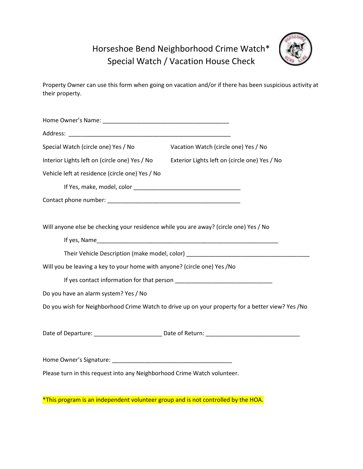## Horseshoe Bend Neighborhood Crime Watch\* Special Watch / Vacation House Check



Property Owner can use this form when going on vacation and/or if there has been suspicious activity at their property.

| Special Watch (circle one) Yes / No                                                              | Vacation Watch (circle one) Yes / No          |
|--------------------------------------------------------------------------------------------------|-----------------------------------------------|
| Interior Lights left on (circle one) Yes / No                                                    | Exterior Lights left on (circle one) Yes / No |
| Vehicle left at residence (circle one) Yes / No                                                  |                                               |
|                                                                                                  |                                               |
|                                                                                                  |                                               |
|                                                                                                  |                                               |
| Will anyone else be checking your residence while you are away? (circle one) Yes / No            |                                               |
|                                                                                                  |                                               |
|                                                                                                  |                                               |
| Will you be leaving a key to your home with anyone? (circle one) Yes /No                         |                                               |
|                                                                                                  |                                               |
| Do you have an alarm system? Yes / No                                                            |                                               |
| Do you wish for Neighborhood Crime Watch to drive up on your property for a better view? Yes /No |                                               |
|                                                                                                  |                                               |
|                                                                                                  |                                               |
|                                                                                                  |                                               |
|                                                                                                  |                                               |
| Please turn in this request into any Neighborhood Crime Watch volunteer.                         |                                               |
|                                                                                                  |                                               |
| *This program is an independent volunteer group and is not controlled by the HOA.                |                                               |